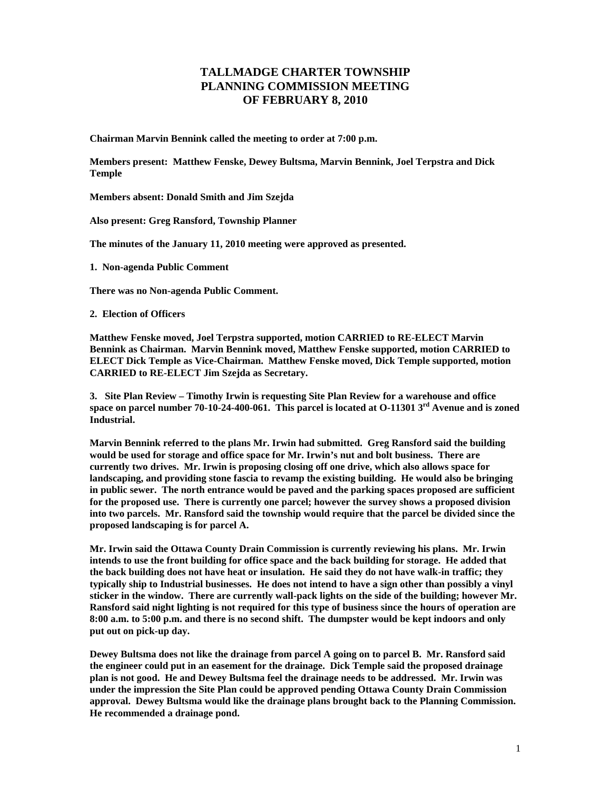## **TALLMADGE CHARTER TOWNSHIP PLANNING COMMISSION MEETING OF FEBRUARY 8, 2010**

**Chairman Marvin Bennink called the meeting to order at 7:00 p.m.** 

**Members present: Matthew Fenske, Dewey Bultsma, Marvin Bennink, Joel Terpstra and Dick Temple** 

**Members absent: Donald Smith and Jim Szejda** 

**Also present: Greg Ransford, Township Planner** 

**The minutes of the January 11, 2010 meeting were approved as presented.** 

**1. Non-agenda Public Comment** 

**There was no Non-agenda Public Comment.** 

**2. Election of Officers** 

**Matthew Fenske moved, Joel Terpstra supported, motion CARRIED to RE-ELECT Marvin Bennink as Chairman. Marvin Bennink moved, Matthew Fenske supported, motion CARRIED to ELECT Dick Temple as Vice-Chairman. Matthew Fenske moved, Dick Temple supported, motion CARRIED to RE-ELECT Jim Szejda as Secretary.** 

**3. Site Plan Review – Timothy Irwin is requesting Site Plan Review for a warehouse and office space on parcel number 70-10-24-400-061. This parcel is located at O-11301 3rd Avenue and is zoned Industrial.** 

**Marvin Bennink referred to the plans Mr. Irwin had submitted. Greg Ransford said the building would be used for storage and office space for Mr. Irwin's nut and bolt business. There are currently two drives. Mr. Irwin is proposing closing off one drive, which also allows space for landscaping, and providing stone fascia to revamp the existing building. He would also be bringing in public sewer. The north entrance would be paved and the parking spaces proposed are sufficient for the proposed use. There is currently one parcel; however the survey shows a proposed division into two parcels. Mr. Ransford said the township would require that the parcel be divided since the proposed landscaping is for parcel A.** 

**Mr. Irwin said the Ottawa County Drain Commission is currently reviewing his plans. Mr. Irwin intends to use the front building for office space and the back building for storage. He added that the back building does not have heat or insulation. He said they do not have walk-in traffic; they typically ship to Industrial businesses. He does not intend to have a sign other than possibly a vinyl sticker in the window. There are currently wall-pack lights on the side of the building; however Mr. Ransford said night lighting is not required for this type of business since the hours of operation are 8:00 a.m. to 5:00 p.m. and there is no second shift. The dumpster would be kept indoors and only put out on pick-up day.** 

**Dewey Bultsma does not like the drainage from parcel A going on to parcel B. Mr. Ransford said the engineer could put in an easement for the drainage. Dick Temple said the proposed drainage plan is not good. He and Dewey Bultsma feel the drainage needs to be addressed. Mr. Irwin was under the impression the Site Plan could be approved pending Ottawa County Drain Commission approval. Dewey Bultsma would like the drainage plans brought back to the Planning Commission. He recommended a drainage pond.**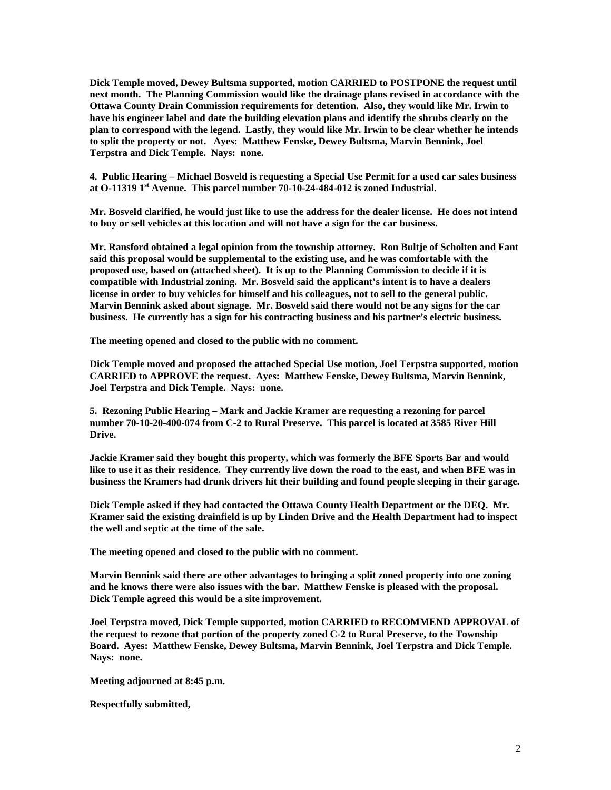**Dick Temple moved, Dewey Bultsma supported, motion CARRIED to POSTPONE the request until next month. The Planning Commission would like the drainage plans revised in accordance with the Ottawa County Drain Commission requirements for detention. Also, they would like Mr. Irwin to have his engineer label and date the building elevation plans and identify the shrubs clearly on the plan to correspond with the legend. Lastly, they would like Mr. Irwin to be clear whether he intends to split the property or not. Ayes: Matthew Fenske, Dewey Bultsma, Marvin Bennink, Joel Terpstra and Dick Temple. Nays: none.** 

**4. Public Hearing – Michael Bosveld is requesting a Special Use Permit for a used car sales business at O-11319 1st Avenue. This parcel number 70-10-24-484-012 is zoned Industrial.** 

**Mr. Bosveld clarified, he would just like to use the address for the dealer license. He does not intend to buy or sell vehicles at this location and will not have a sign for the car business.** 

**Mr. Ransford obtained a legal opinion from the township attorney. Ron Bultje of Scholten and Fant said this proposal would be supplemental to the existing use, and he was comfortable with the proposed use, based on (attached sheet). It is up to the Planning Commission to decide if it is compatible with Industrial zoning. Mr. Bosveld said the applicant's intent is to have a dealers license in order to buy vehicles for himself and his colleagues, not to sell to the general public. Marvin Bennink asked about signage. Mr. Bosveld said there would not be any signs for the car business. He currently has a sign for his contracting business and his partner's electric business.** 

**The meeting opened and closed to the public with no comment.** 

**Dick Temple moved and proposed the attached Special Use motion, Joel Terpstra supported, motion CARRIED to APPROVE the request. Ayes: Matthew Fenske, Dewey Bultsma, Marvin Bennink, Joel Terpstra and Dick Temple. Nays: none.** 

**5. Rezoning Public Hearing – Mark and Jackie Kramer are requesting a rezoning for parcel number 70-10-20-400-074 from C-2 to Rural Preserve. This parcel is located at 3585 River Hill Drive.** 

**Jackie Kramer said they bought this property, which was formerly the BFE Sports Bar and would like to use it as their residence. They currently live down the road to the east, and when BFE was in business the Kramers had drunk drivers hit their building and found people sleeping in their garage.** 

**Dick Temple asked if they had contacted the Ottawa County Health Department or the DEQ. Mr. Kramer said the existing drainfield is up by Linden Drive and the Health Department had to inspect the well and septic at the time of the sale.** 

**The meeting opened and closed to the public with no comment.** 

**Marvin Bennink said there are other advantages to bringing a split zoned property into one zoning and he knows there were also issues with the bar. Matthew Fenske is pleased with the proposal. Dick Temple agreed this would be a site improvement.** 

**Joel Terpstra moved, Dick Temple supported, motion CARRIED to RECOMMEND APPROVAL of the request to rezone that portion of the property zoned C-2 to Rural Preserve, to the Township Board. Ayes: Matthew Fenske, Dewey Bultsma, Marvin Bennink, Joel Terpstra and Dick Temple. Nays: none.** 

**Meeting adjourned at 8:45 p.m.** 

**Respectfully submitted,**